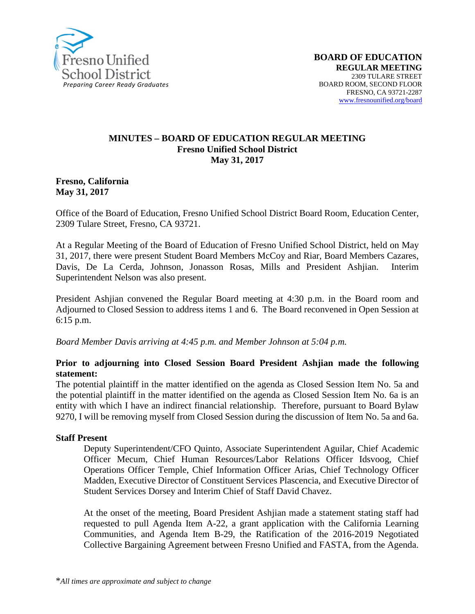

#### **MINUTES – BOARD OF EDUCATION REGULAR MEETING Fresno Unified School District May 31, 2017**

#### **Fresno, California May 31, 2017**

Office of the Board of Education, Fresno Unified School District Board Room, Education Center, 2309 Tulare Street, Fresno, CA 93721.

At a Regular Meeting of the Board of Education of Fresno Unified School District, held on May 31, 2017, there were present Student Board Members McCoy and Riar, Board Members Cazares, Davis, De La Cerda, Johnson, Jonasson Rosas, Mills and President Ashjian. Interim Superintendent Nelson was also present.

President Ashjian convened the Regular Board meeting at 4:30 p.m. in the Board room and Adjourned to Closed Session to address items 1 and 6. The Board reconvened in Open Session at 6:15 p.m.

*Board Member Davis arriving at 4:45 p.m. and Member Johnson at 5:04 p.m.*

#### **Prior to adjourning into Closed Session Board President Ashjian made the following statement:**

The potential plaintiff in the matter identified on the agenda as Closed Session Item No. 5a and the potential plaintiff in the matter identified on the agenda as Closed Session Item No. 6a is an entity with which I have an indirect financial relationship. Therefore, pursuant to Board Bylaw 9270, I will be removing myself from Closed Session during the discussion of Item No. 5a and 6a.

#### **Staff Present**

Deputy Superintendent/CFO Quinto, Associate Superintendent Aguilar, Chief Academic Officer Mecum, Chief Human Resources/Labor Relations Officer Idsvoog, Chief Operations Officer Temple, Chief Information Officer Arias, Chief Technology Officer Madden, Executive Director of Constituent Services Plascencia, and Executive Director of Student Services Dorsey and Interim Chief of Staff David Chavez.

At the onset of the meeting, Board President Ashjian made a statement stating staff had requested to pull Agenda Item A-22, a grant application with the California Learning Communities, and Agenda Item B-29, the Ratification of the 2016-2019 Negotiated Collective Bargaining Agreement between Fresno Unified and FASTA, from the Agenda.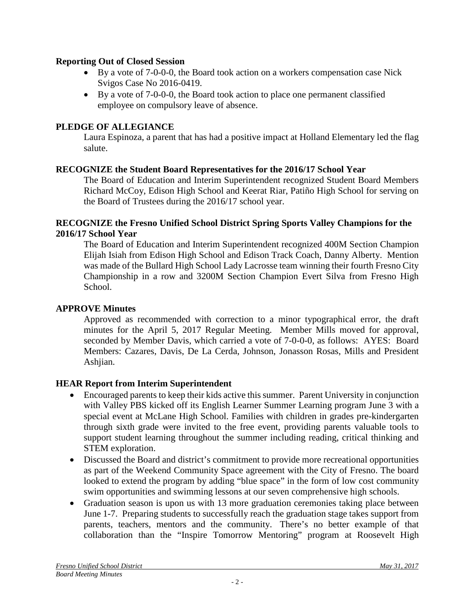#### **Reporting Out of Closed Session**

- By a vote of 7-0-0-0, the Board took action on a workers compensation case Nick Svigos Case No 2016-0419.
- By a vote of 7-0-0-0, the Board took action to place one permanent classified employee on compulsory leave of absence.

### **PLEDGE OF ALLEGIANCE**

Laura Espinoza, a parent that has had a positive impact at Holland Elementary led the flag salute.

### **RECOGNIZE the Student Board Representatives for the 2016/17 School Year**

The Board of Education and Interim Superintendent recognized Student Board Members Richard McCoy, Edison High School and Keerat Riar, Patiño High School for serving on the Board of Trustees during the 2016/17 school year.

#### **RECOGNIZE the Fresno Unified School District Spring Sports Valley Champions for the 2016/17 School Year**

The Board of Education and Interim Superintendent recognized 400M Section Champion Elijah Isiah from Edison High School and Edison Track Coach, Danny Alberty. Mention was made of the Bullard High School Lady Lacrosse team winning their fourth Fresno City Championship in a row and 3200M Section Champion Evert Silva from Fresno High School.

#### **APPROVE Minutes**

Approved as recommended with correction to a minor typographical error, the draft minutes for the April 5, 2017 Regular Meeting. Member Mills moved for approval, seconded by Member Davis, which carried a vote of 7-0-0-0, as follows: AYES: Board Members: Cazares, Davis, De La Cerda, Johnson, Jonasson Rosas, Mills and President Ashjian.

## **HEAR Report from Interim Superintendent**

- Encouraged parents to keep their kids active this summer. Parent University in conjunction with Valley PBS kicked off its [English Learner Summer Learning](https://www.fresnounified.org/dept/parentu) program June 3 with a special event at McLane High School. Families with children in grades pre-kindergarten through sixth grade were invited to the free event, providing parents valuable tools to support student learning throughout the summer including reading, critical thinking and STEM exploration.
- Discussed the Board and district's commitment to provide more recreational opportunities as part of the Weekend Community Space agreement with the City of Fresno. The board looked to extend the program by adding "blue space" in the form of low cost community swim opportunities and swimming lessons at our seven comprehensive high schools.
- Graduation season is upon us with 13 more graduation ceremonies taking place between June 1-7. Preparing students to successfully reach the graduation stage takes support from parents, teachers, mentors and the community. There's no better example of that collaboration than the "Inspire Tomorrow Mentoring" program at Roosevelt High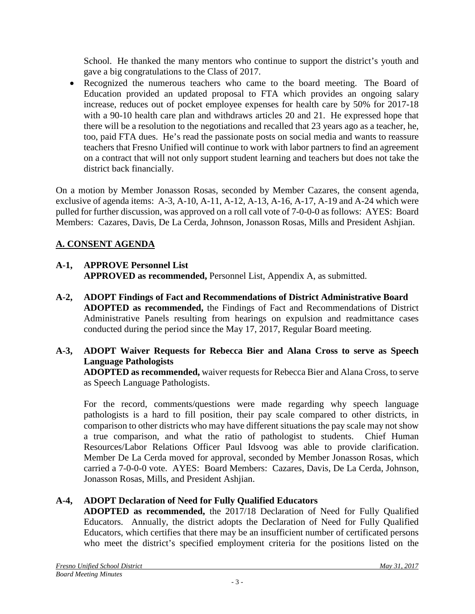School. He thanked the many mentors who continue to support the district's youth and gave a big congratulations to the Class of 2017.

• Recognized the numerous teachers who came to the board meeting. The Board of Education provided an updated proposal to FTA which provides an ongoing salary increase, reduces out of pocket employee expenses for health care by 50% for 2017-18 with a 90-10 health care plan and withdraws articles 20 and 21. He expressed hope that there will be a resolution to the negotiations and recalled that 23 years ago as a teacher, he, too, paid FTA dues. He's read the passionate posts on social media and wants to reassure teachers that Fresno Unified will continue to work with labor partners to find an agreement on a contract that will not only support student learning and teachers but does not take the district back financially.

On a motion by Member Jonasson Rosas, seconded by Member Cazares, the consent agenda, exclusive of agenda items: A-3, A-10, A-11, A-12, A-13, A-16, A-17, A-19 and A-24 which were pulled for further discussion, was approved on a roll call vote of 7-0-0-0 as follows: AYES: Board Members: Cazares, Davis, De La Cerda, Johnson, Jonasson Rosas, Mills and President Ashjian.

# **A. CONSENT AGENDA**

# **A-1, APPROVE Personnel List APPROVED as recommended,** Personnel List, Appendix A, as submitted.

**A-2, ADOPT Findings of Fact and Recommendations of District Administrative Board ADOPTED as recommended,** the Findings of Fact and Recommendations of District Administrative Panels resulting from hearings on expulsion and readmittance cases conducted during the period since the May 17, 2017, Regular Board meeting.

## **A-3, ADOPT Waiver Requests for Rebecca Bier and Alana Cross to serve as Speech Language Pathologists**

**ADOPTED as recommended,** waiver requests for Rebecca Bier and Alana Cross, to serve as Speech Language Pathologists.

For the record, comments/questions were made regarding why speech language pathologists is a hard to fill position, their pay scale compared to other districts, in comparison to other districts who may have different situations the pay scale may not show a true comparison, and what the ratio of pathologist to students. Chief Human Resources/Labor Relations Officer Paul Idsvoog was able to provide clarification. Member De La Cerda moved for approval, seconded by Member Jonasson Rosas, which carried a 7-0-0-0 vote. AYES: Board Members: Cazares, Davis, De La Cerda, Johnson, Jonasson Rosas, Mills, and President Ashjian.

# **A-4, ADOPT Declaration of Need for Fully Qualified Educators**

**ADOPTED as recommended,** the 2017/18 Declaration of Need for Fully Qualified Educators. Annually, the district adopts the Declaration of Need for Fully Qualified Educators, which certifies that there may be an insufficient number of certificated persons who meet the district's specified employment criteria for the positions listed on the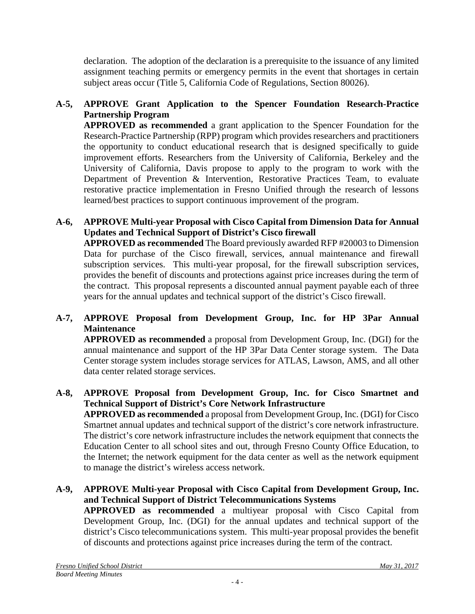declaration. The adoption of the declaration is a prerequisite to the issuance of any limited assignment teaching permits or emergency permits in the event that shortages in certain subject areas occur (Title 5, California Code of Regulations, Section 80026).

# **A-5, APPROVE Grant Application to the Spencer Foundation Research-Practice Partnership Program**

**APPROVED as recommended** a grant application to the Spencer Foundation for the Research-Practice Partnership (RPP) program which provides researchers and practitioners the opportunity to conduct educational research that is designed specifically to guide improvement efforts. Researchers from the University of California, Berkeley and the University of California, Davis propose to apply to the program to work with the Department of Prevention & Intervention, Restorative Practices Team, to evaluate restorative practice implementation in Fresno Unified through the research of lessons learned/best practices to support continuous improvement of the program.

## **A-6, APPROVE Multi-year Proposal with Cisco Capital from Dimension Data for Annual Updates and Technical Support of District's Cisco firewall**

**APPROVED as recommended** The Board previously awarded RFP #20003 to Dimension Data for purchase of the Cisco firewall, services, annual maintenance and firewall subscription services. This multi-year proposal, for the firewall subscription services, provides the benefit of discounts and protections against price increases during the term of the contract. This proposal represents a discounted annual payment payable each of three years for the annual updates and technical support of the district's Cisco firewall.

## **A-7, APPROVE Proposal from Development Group, Inc. for HP 3Par Annual Maintenance**

**APPROVED as recommended** a proposal from Development Group, Inc. (DGI) for the annual maintenance and support of the HP 3Par Data Center storage system. The Data Center storage system includes storage services for ATLAS, Lawson, AMS, and all other data center related storage services.

### **A-8, APPROVE Proposal from Development Group, Inc. for Cisco Smartnet and Technical Support of District's Core Network Infrastructure**

**APPROVED as recommended** a proposal from Development Group, Inc. (DGI) for Cisco Smartnet annual updates and technical support of the district's core network infrastructure. The district's core network infrastructure includes the network equipment that connects the Education Center to all school sites and out, through Fresno County Office Education, to the Internet; the network equipment for the data center as well as the network equipment to manage the district's wireless access network.

#### **A-9, APPROVE Multi-year Proposal with Cisco Capital from Development Group, Inc. and Technical Support of District Telecommunications Systems APPROVED as recommended** a multiyear proposal with Cisco Capital from Development Group, Inc. (DGI) for the annual updates and technical support of the district's Cisco telecommunications system. This multi-year proposal provides the benefit of discounts and protections against price increases during the term of the contract.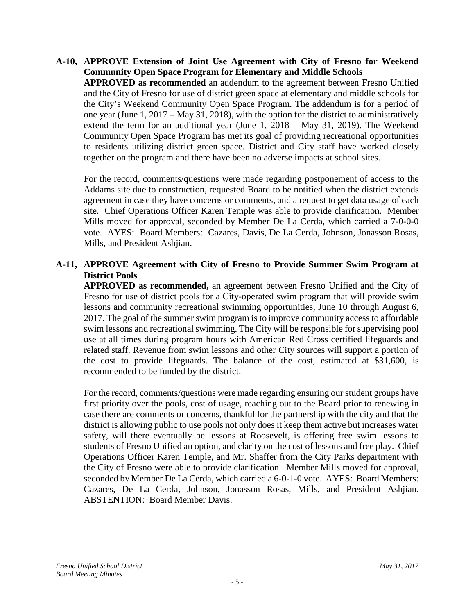#### **A-10, APPROVE Extension of Joint Use Agreement with City of Fresno for Weekend Community Open Space Program for Elementary and Middle Schools APPROVED as recommended** an addendum to the agreement between Fresno Unified and the City of Fresno for use of district green space at elementary and middle schools for the City's Weekend Community Open Space Program. The addendum is for a period of one year (June 1, 2017 – May 31, 2018), with the option for the district to administratively extend the term for an additional year (June 1, 2018 – May 31, 2019). The Weekend Community Open Space Program has met its goal of providing recreational opportunities to residents utilizing district green space. District and City staff have worked closely together on the program and there have been no adverse impacts at school sites.

For the record, comments/questions were made regarding postponement of access to the Addams site due to construction, requested Board to be notified when the district extends agreement in case they have concerns or comments, and a request to get data usage of each site. Chief Operations Officer Karen Temple was able to provide clarification. Member Mills moved for approval, seconded by Member De La Cerda, which carried a 7-0-0-0 vote. AYES: Board Members: Cazares, Davis, De La Cerda, Johnson, Jonasson Rosas, Mills, and President Ashjian.

### **A-11, APPROVE Agreement with City of Fresno to Provide Summer Swim Program at District Pools**

**APPROVED as recommended,** an agreement between Fresno Unified and the City of Fresno for use of district pools for a City-operated swim program that will provide swim lessons and community recreational swimming opportunities, June 10 through August 6, 2017. The goal of the summer swim program is to improve community access to affordable swim lessons and recreational swimming. The City will be responsible for supervising pool use at all times during program hours with American Red Cross certified lifeguards and related staff. Revenue from swim lessons and other City sources will support a portion of the cost to provide lifeguards. The balance of the cost, estimated at \$31,600, is recommended to be funded by the district.

For the record, comments/questions were made regarding ensuring our student groups have first priority over the pools, cost of usage, reaching out to the Board prior to renewing in case there are comments or concerns, thankful for the partnership with the city and that the district is allowing public to use pools not only does it keep them active but increases water safety, will there eventually be lessons at Roosevelt, is offering free swim lessons to students of Fresno Unified an option, and clarity on the cost of lessons and free play. Chief Operations Officer Karen Temple, and Mr. Shaffer from the City Parks department with the City of Fresno were able to provide clarification. Member Mills moved for approval, seconded by Member De La Cerda, which carried a 6-0-1-0 vote. AYES: Board Members: Cazares, De La Cerda, Johnson, Jonasson Rosas, Mills, and President Ashjian. ABSTENTION: Board Member Davis.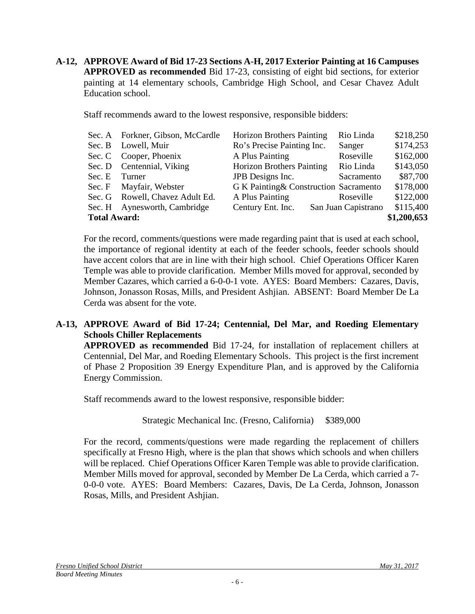**A-12, APPROVE Award of Bid 17-23 Sections A-H, 2017 Exterior Painting at 16 Campuses APPROVED as recommended** Bid 17-23, consisting of eight bid sections, for exterior painting at 14 elementary schools, Cambridge High School, and Cesar Chavez Adult Education school.

Staff recommends award to the lowest responsive, responsible bidders:

|                     | Sec. A Forkner, Gibson, McCardle | <b>Horizon Brothers Painting</b>       | Rio Linda           | \$218,250 |
|---------------------|----------------------------------|----------------------------------------|---------------------|-----------|
|                     | Sec. B Lowell, Muir              | Ro's Precise Painting Inc.             | Sanger              | \$174,253 |
|                     | Sec. C Cooper, Phoenix           | A Plus Painting                        | Roseville           | \$162,000 |
|                     | Sec. D Centennial, Viking        | <b>Horizon Brothers Painting</b>       | Rio Linda           | \$143,050 |
| Sec. E Turner       |                                  | JPB Designs Inc.                       | Sacramento          | \$87,700  |
|                     | Sec. F Mayfair, Webster          | G K Painting & Construction Sacramento |                     | \$178,000 |
|                     | Sec. G Rowell, Chavez Adult Ed.  | A Plus Painting                        | Roseville           | \$122,000 |
|                     | Sec. H Aynesworth, Cambridge     | Century Ent. Inc.                      | San Juan Capistrano | \$115,400 |
| <b>Total Award:</b> |                                  |                                        |                     |           |

For the record, comments/questions were made regarding paint that is used at each school, the importance of regional identity at each of the feeder schools, feeder schools should have accent colors that are in line with their high school. Chief Operations Officer Karen Temple was able to provide clarification. Member Mills moved for approval, seconded by Member Cazares, which carried a 6-0-0-1 vote. AYES: Board Members: Cazares, Davis, Johnson, Jonasson Rosas, Mills, and President Ashjian. ABSENT: Board Member De La Cerda was absent for the vote.

### **A-13, APPROVE Award of Bid 17-24; Centennial, Del Mar, and Roeding Elementary Schools Chiller Replacements**

**APPROVED as recommended** Bid 17-24, for installation of replacement chillers at Centennial, Del Mar, and Roeding Elementary Schools. This project is the first increment of Phase 2 Proposition 39 Energy Expenditure Plan, and is approved by the California Energy Commission.

Staff recommends award to the lowest responsive, responsible bidder:

Strategic Mechanical Inc. (Fresno, California) \$389,000

For the record, comments/questions were made regarding the replacement of chillers specifically at Fresno High, where is the plan that shows which schools and when chillers will be replaced. Chief Operations Officer Karen Temple was able to provide clarification. Member Mills moved for approval, seconded by Member De La Cerda, which carried a 7- 0-0-0 vote. AYES: Board Members: Cazares, Davis, De La Cerda, Johnson, Jonasson Rosas, Mills, and President Ashjian.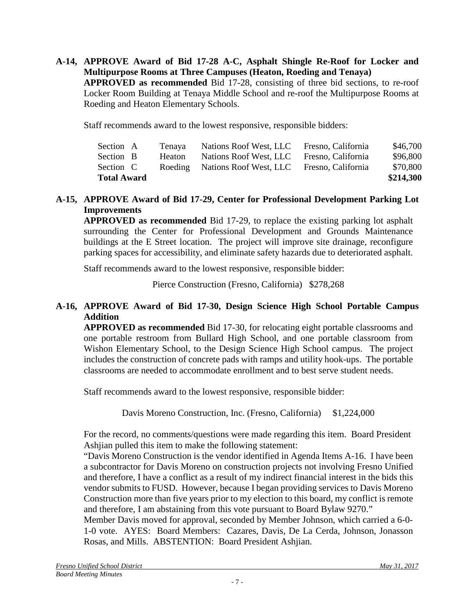**A-14, APPROVE Award of Bid 17-28 A-C, Asphalt Shingle Re-Roof for Locker and Multipurpose Rooms at Three Campuses (Heaton, Roeding and Tenaya) APPROVED as recommended** Bid 17-28, consisting of three bid sections, to re-roof Locker Room Building at Tenaya Middle School and re-roof the Multipurpose Rooms at Roeding and Heaton Elementary Schools.

Staff recommends award to the lowest responsive, responsible bidders:

| <b>Total Award</b> |        |                                |                    | \$214,300 |
|--------------------|--------|--------------------------------|--------------------|-----------|
| Section C          |        | Roeding Nations Roof West, LLC | Fresno, California | \$70,800  |
| Section B          | Heaton | Nations Roof West, LLC         | Fresno, California | \$96,800  |
| Section A          | Tenaya | Nations Roof West, LLC         | Fresno, California | \$46,700  |

### **A-15, APPROVE Award of Bid 17-29, Center for Professional Development Parking Lot Improvements**

**APPROVED as recommended** Bid 17-29, to replace the existing parking lot asphalt surrounding the Center for Professional Development and Grounds Maintenance buildings at the E Street location. The project will improve site drainage, reconfigure parking spaces for accessibility, and eliminate safety hazards due to deteriorated asphalt.

Staff recommends award to the lowest responsive, responsible bidder:

Pierce Construction (Fresno, California) \$278,268

### **A-16, APPROVE Award of Bid 17-30, Design Science High School Portable Campus Addition**

**APPROVED as recommended** Bid 17-30, for relocating eight portable classrooms and one portable restroom from Bullard High School, and one portable classroom from Wishon Elementary School, to the Design Science High School campus. The project includes the construction of concrete pads with ramps and utility hook-ups. The portable classrooms are needed to accommodate enrollment and to best serve student needs.

Staff recommends award to the lowest responsive, responsible bidder:

Davis Moreno Construction, Inc. (Fresno, California) \$1,224,000

For the record, no comments/questions were made regarding this item. Board President Ashjian pulled this item to make the following statement:

"Davis Moreno Construction is the vendor identified in Agenda Items A-16. I have been a subcontractor for Davis Moreno on construction projects not involving Fresno Unified and therefore, I have a conflict as a result of my indirect financial interest in the bids this vendor submits to FUSD. However, because I began providing services to Davis Moreno Construction more than five years prior to my election to this board, my conflict is remote and therefore, I am abstaining from this vote pursuant to Board Bylaw 9270."

Member Davis moved for approval, seconded by Member Johnson, which carried a 6-0- 1-0 vote. AYES: Board Members: Cazares, Davis, De La Cerda, Johnson, Jonasson Rosas, and Mills. ABSTENTION: Board President Ashjian.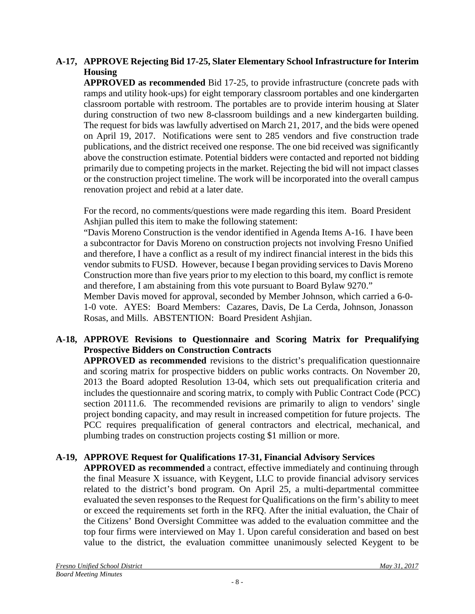## **A-17, APPROVE Rejecting Bid 17-25, Slater Elementary School Infrastructure for Interim Housing**

**APPROVED as recommended** Bid 17-25, to provide infrastructure (concrete pads with ramps and utility hook-ups) for eight temporary classroom portables and one kindergarten classroom portable with restroom. The portables are to provide interim housing at Slater during construction of two new 8-classroom buildings and a new kindergarten building. The request for bids was lawfully advertised on March 21, 2017, and the bids were opened on April 19, 2017. Notifications were sent to 285 vendors and five construction trade publications, and the district received one response. The one bid received was significantly above the construction estimate. Potential bidders were contacted and reported not bidding primarily due to competing projects in the market. Rejecting the bid will not impact classes or the construction project timeline. The work will be incorporated into the overall campus renovation project and rebid at a later date.

For the record, no comments/questions were made regarding this item. Board President Ashjian pulled this item to make the following statement:

"Davis Moreno Construction is the vendor identified in Agenda Items A-16. I have been a subcontractor for Davis Moreno on construction projects not involving Fresno Unified and therefore, I have a conflict as a result of my indirect financial interest in the bids this vendor submits to FUSD. However, because I began providing services to Davis Moreno Construction more than five years prior to my election to this board, my conflict is remote and therefore, I am abstaining from this vote pursuant to Board Bylaw 9270."

Member Davis moved for approval, seconded by Member Johnson, which carried a 6-0- 1-0 vote. AYES: Board Members: Cazares, Davis, De La Cerda, Johnson, Jonasson Rosas, and Mills. ABSTENTION: Board President Ashjian.

## **A-18, APPROVE Revisions to Questionnaire and Scoring Matrix for Prequalifying Prospective Bidders on Construction Contracts**

**APPROVED as recommended** revisions to the district's prequalification questionnaire and scoring matrix for prospective bidders on public works contracts. On November 20, 2013 the Board adopted Resolution 13-04, which sets out prequalification criteria and includes the questionnaire and scoring matrix, to comply with Public Contract Code (PCC) section 20111.6. The recommended revisions are primarily to align to vendors' single project bonding capacity, and may result in increased competition for future projects. The PCC requires prequalification of general contractors and electrical, mechanical, and plumbing trades on construction projects costing \$1 million or more.

## **A-19, APPROVE Request for Qualifications 17-31, Financial Advisory Services**

**APPROVED as recommended** a contract, effective immediately and continuing through the final Measure X issuance, with Keygent, LLC to provide financial advisory services related to the district's bond program. On April 25, a multi-departmental committee evaluated the seven responses to the Request for Qualifications on the firm's ability to meet or exceed the requirements set forth in the RFQ. After the initial evaluation, the Chair of the Citizens' Bond Oversight Committee was added to the evaluation committee and the top four firms were interviewed on May 1. Upon careful consideration and based on best value to the district, the evaluation committee unanimously selected Keygent to be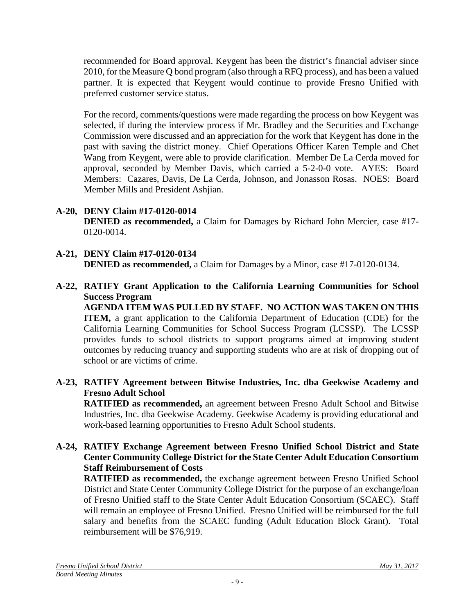recommended for Board approval. Keygent has been the district's financial adviser since 2010, for the Measure Q bond program (also through a RFQ process), and has been a valued partner. It is expected that Keygent would continue to provide Fresno Unified with preferred customer service status.

For the record, comments/questions were made regarding the process on how Keygent was selected, if during the interview process if Mr. Bradley and the Securities and Exchange Commission were discussed and an appreciation for the work that Keygent has done in the past with saving the district money. Chief Operations Officer Karen Temple and Chet Wang from Keygent, were able to provide clarification. Member De La Cerda moved for approval, seconded by Member Davis, which carried a 5-2-0-0 vote. AYES: Board Members: Cazares, Davis, De La Cerda, Johnson, and Jonasson Rosas. NOES: Board Member Mills and President Ashjian.

- **A-20, DENY Claim #17-0120-0014 DENIED as recommended,** a Claim for Damages by Richard John Mercier, case #17- 0120-0014.
- **A-21, DENY Claim #17-0120-0134 DENIED as recommended,** a Claim for Damages by a Minor, case #17-0120-0134.
- **A-22, RATIFY Grant Application to the California Learning Communities for School Success Program**

**AGENDA ITEM WAS PULLED BY STAFF. NO ACTION WAS TAKEN ON THIS ITEM,** a grant application to the California Department of Education (CDE) for the California Learning Communities for School Success Program (LCSSP). The LCSSP provides funds to school districts to support programs aimed at improving student outcomes by reducing truancy and supporting students who are at risk of dropping out of school or are victims of crime.

**A-23, RATIFY Agreement between Bitwise Industries, Inc. dba Geekwise Academy and Fresno Adult School**

**RATIFIED as recommended,** an agreement between Fresno Adult School and Bitwise Industries, Inc. dba Geekwise Academy. Geekwise Academy is providing educational and work-based learning opportunities to Fresno Adult School students.

**A-24, RATIFY Exchange Agreement between Fresno Unified School District and State Center Community College District for the State Center Adult Education Consortium Staff Reimbursement of Costs**

**RATIFIED as recommended,** the exchange agreement between Fresno Unified School District and State Center Community College District for the purpose of an exchange/loan of Fresno Unified staff to the State Center Adult Education Consortium (SCAEC). Staff will remain an employee of Fresno Unified. Fresno Unified will be reimbursed for the full salary and benefits from the SCAEC funding (Adult Education Block Grant). Total reimbursement will be \$76,919.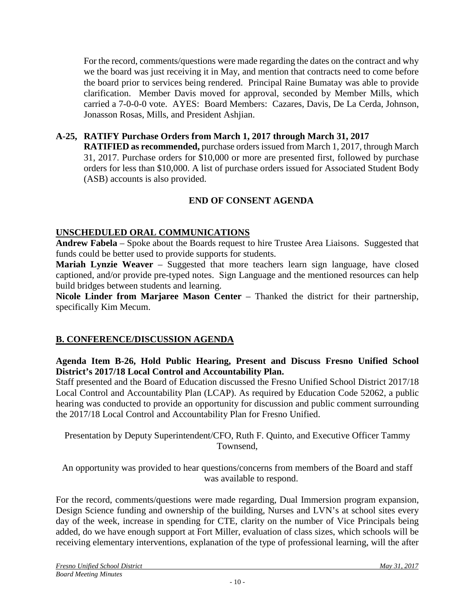For the record, comments/questions were made regarding the dates on the contract and why we the board was just receiving it in May, and mention that contracts need to come before the board prior to services being rendered. Principal Raine Bumatay was able to provide clarification. Member Davis moved for approval, seconded by Member Mills, which carried a 7-0-0-0 vote. AYES: Board Members: Cazares, Davis, De La Cerda, Johnson, Jonasson Rosas, Mills, and President Ashjian.

# **A-25, RATIFY Purchase Orders from March 1, 2017 through March 31, 2017**

**RATIFIED as recommended,** purchase orders issued from March 1, 2017, through March 31, 2017. Purchase orders for \$10,000 or more are presented first, followed by purchase orders for less than \$10,000. A list of purchase orders issued for Associated Student Body (ASB) accounts is also provided.

# **END OF CONSENT AGENDA**

## **UNSCHEDULED ORAL COMMUNICATIONS**

**Andrew Fabela** – Spoke about the Boards request to hire Trustee Area Liaisons. Suggested that funds could be better used to provide supports for students.

**Mariah Lynzie Weaver** – Suggested that more teachers learn sign language, have closed captioned, and/or provide pre-typed notes. Sign Language and the mentioned resources can help build bridges between students and learning.

**Nicole Linder from Marjaree Mason Center** – Thanked the district for their partnership, specifically Kim Mecum.

## **B. CONFERENCE/DISCUSSION AGENDA**

### **Agenda Item B-26, Hold Public Hearing, Present and Discuss Fresno Unified School District's 2017/18 Local Control and Accountability Plan.**

Staff presented and the Board of Education discussed the Fresno Unified School District 2017/18 Local Control and Accountability Plan (LCAP). As required by Education Code 52062, a public hearing was conducted to provide an opportunity for discussion and public comment surrounding the 2017/18 Local Control and Accountability Plan for Fresno Unified.

Presentation by Deputy Superintendent/CFO, Ruth F. Quinto, and Executive Officer Tammy Townsend,

An opportunity was provided to hear questions/concerns from members of the Board and staff was available to respond.

For the record, comments/questions were made regarding, Dual Immersion program expansion, Design Science funding and ownership of the building, Nurses and LVN's at school sites every day of the week, increase in spending for CTE, clarity on the number of Vice Principals being added, do we have enough support at Fort Miller, evaluation of class sizes, which schools will be receiving elementary interventions, explanation of the type of professional learning, will the after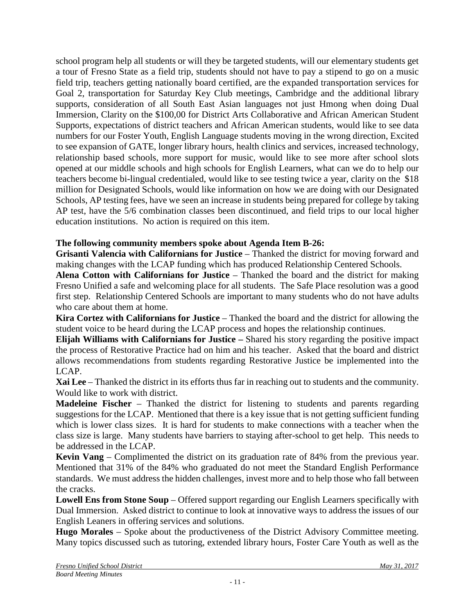school program help all students or will they be targeted students, will our elementary students get a tour of Fresno State as a field trip, students should not have to pay a stipend to go on a music field trip, teachers getting nationally board certified, are the expanded transportation services for Goal 2, transportation for Saturday Key Club meetings, Cambridge and the additional library supports, consideration of all South East Asian languages not just Hmong when doing Dual Immersion, Clarity on the \$100,00 for District Arts Collaborative and African American Student Supports, expectations of district teachers and African American students, would like to see data numbers for our Foster Youth, English Language students moving in the wrong direction, Excited to see expansion of GATE, longer library hours, health clinics and services, increased technology, relationship based schools, more support for music, would like to see more after school slots opened at our middle schools and high schools for English Learners, what can we do to help our teachers become bi-lingual credentialed, would like to see testing twice a year, clarity on the \$18 million for Designated Schools, would like information on how we are doing with our Designated Schools, AP testing fees, have we seen an increase in students being prepared for college by taking AP test, have the 5/6 combination classes been discontinued, and field trips to our local higher education institutions. No action is required on this item.

# **The following community members spoke about Agenda Item B-26:**

**Grisanti Valencia with Californians for Justice** – Thanked the district for moving forward and making changes with the LCAP funding which has produced Relationship Centered Schools.

**Alena Cotton with Californians for Justice** – Thanked the board and the district for making Fresno Unified a safe and welcoming place for all students. The Safe Place resolution was a good first step. Relationship Centered Schools are important to many students who do not have adults who care about them at home.

**Kira Cortez with Californians for Justice** – Thanked the board and the district for allowing the student voice to be heard during the LCAP process and hopes the relationship continues.

**Elijah Williams with Californians for Justice –** Shared his story regarding the positive impact the process of Restorative Practice had on him and his teacher. Asked that the board and district allows recommendations from students regarding Restorative Justice be implemented into the LCAP.

**Xai Lee** – Thanked the district in its efforts thus far in reaching out to students and the community. Would like to work with district.

**Madeleine Fischer** – Thanked the district for listening to students and parents regarding suggestions for the LCAP. Mentioned that there is a key issue that is not getting sufficient funding which is lower class sizes. It is hard for students to make connections with a teacher when the class size is large. Many students have barriers to staying after-school to get help. This needs to be addressed in the LCAP.

**Kevin Vang** – Complimented the district on its graduation rate of 84% from the previous year. Mentioned that 31% of the 84% who graduated do not meet the Standard English Performance standards. We must address the hidden challenges, invest more and to help those who fall between the cracks.

**Lowell Ens from Stone Soup** – Offered support regarding our English Learners specifically with Dual Immersion. Asked district to continue to look at innovative ways to address the issues of our English Leaners in offering services and solutions.

**Hugo Morales** – Spoke about the productiveness of the District Advisory Committee meeting. Many topics discussed such as tutoring, extended library hours, Foster Care Youth as well as the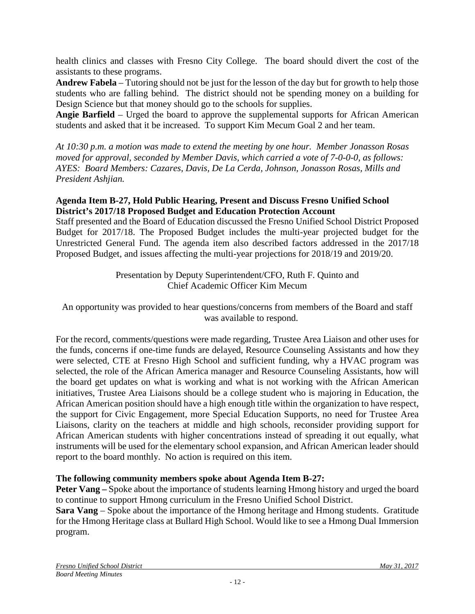health clinics and classes with Fresno City College. The board should divert the cost of the assistants to these programs.

**Andrew Fabela** – Tutoring should not be just for the lesson of the day but for growth to help those students who are falling behind. The district should not be spending money on a building for Design Science but that money should go to the schools for supplies.

**Angie Barfield** – Urged the board to approve the supplemental supports for African American students and asked that it be increased. To support Kim Mecum Goal 2 and her team.

*At 10:30 p.m. a motion was made to extend the meeting by one hour. Member Jonasson Rosas moved for approval, seconded by Member Davis, which carried a vote of 7-0-0-0, as follows: AYES: Board Members: Cazares, Davis, De La Cerda, Johnson, Jonasson Rosas, Mills and President Ashjian.*

### **Agenda Item B-27, Hold Public Hearing, Present and Discuss Fresno Unified School District's 2017/18 Proposed Budget and Education Protection Account**

Staff presented and the Board of Education discussed the Fresno Unified School District Proposed Budget for 2017/18. The Proposed Budget includes the multi-year projected budget for the Unrestricted General Fund. The agenda item also described factors addressed in the 2017/18 Proposed Budget, and issues affecting the multi-year projections for 2018/19 and 2019/20.

> Presentation by Deputy Superintendent/CFO, Ruth F. Quinto and Chief Academic Officer Kim Mecum

An opportunity was provided to hear questions/concerns from members of the Board and staff was available to respond.

For the record, comments/questions were made regarding, Trustee Area Liaison and other uses for the funds, concerns if one-time funds are delayed, Resource Counseling Assistants and how they were selected, CTE at Fresno High School and sufficient funding, why a HVAC program was selected, the role of the African America manager and Resource Counseling Assistants, how will the board get updates on what is working and what is not working with the African American initiatives, Trustee Area Liaisons should be a college student who is majoring in Education, the African American position should have a high enough title within the organization to have respect, the support for Civic Engagement, more Special Education Supports, no need for Trustee Area Liaisons, clarity on the teachers at middle and high schools, reconsider providing support for African American students with higher concentrations instead of spreading it out equally, what instruments will be used for the elementary school expansion, and African American leader should report to the board monthly. No action is required on this item.

## **The following community members spoke about Agenda Item B-27:**

**Peter Vang –** Spoke about the importance of students learning Hmong history and urged the board to continue to support Hmong curriculum in the Fresno Unified School District.

**Sara Vang** – Spoke about the importance of the Hmong heritage and Hmong students. Gratitude for the Hmong Heritage class at Bullard High School. Would like to see a Hmong Dual Immersion program.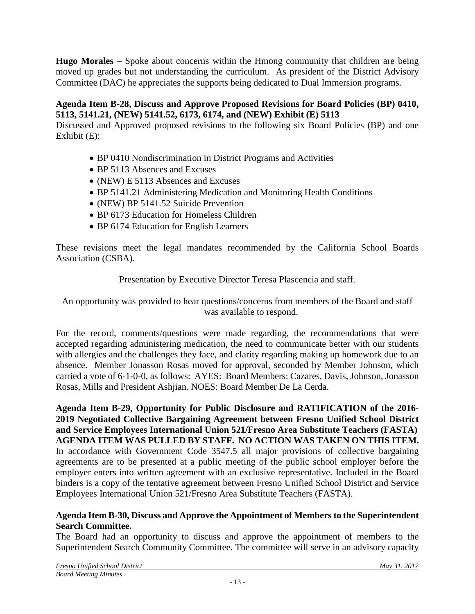**Hugo Morales** – Spoke about concerns within the Hmong community that children are being moved up grades but not understanding the curriculum. As president of the District Advisory Committee (DAC) he appreciates the supports being dedicated to Dual Immersion programs.

### **Agenda Item B-28, Discuss and Approve Proposed Revisions for Board Policies (BP) 0410, 5113, 5141.21, (NEW) 5141.52, 6173, 6174, and (NEW) Exhibit (E) 5113**

Discussed and Approved proposed revisions to the following six Board Policies (BP) and one Exhibit (E):

- BP 0410 Nondiscrimination in District Programs and Activities
- BP 5113 Absences and Excuses
- (NEW) E 5113 Absences and Excuses
- BP 5141.21 Administering Medication and Monitoring Health Conditions
- (NEW) BP 5141.52 Suicide Prevention
- BP 6173 Education for Homeless Children
- BP 6174 Education for English Learners

These revisions meet the legal mandates recommended by the California School Boards Association (CSBA).

Presentation by Executive Director Teresa Plascencia and staff.

An opportunity was provided to hear questions/concerns from members of the Board and staff was available to respond.

For the record, comments/questions were made regarding, the recommendations that were accepted regarding administering medication, the need to communicate better with our students with allergies and the challenges they face, and clarity regarding making up homework due to an absence. Member Jonasson Rosas moved for approval, seconded by Member Johnson, which carried a vote of 6-1-0-0, as follows: AYES: Board Members: Cazares, Davis, Johnson, Jonasson Rosas, Mills and President Ashjian. NOES: Board Member De La Cerda.

**Agenda Item B-29, Opportunity for Public Disclosure and RATIFICATION of the 2016- 2019 Negotiated Collective Bargaining Agreement between Fresno Unified School District and Service Employees International Union 521/Fresno Area Substitute Teachers (FASTA) AGENDA ITEM WAS PULLED BY STAFF. NO ACTION WAS TAKEN ON THIS ITEM.** In accordance with Government Code 3547.5 all major provisions of collective bargaining agreements are to be presented at a public meeting of the public school employer before the employer enters into written agreement with an exclusive representative. Included in the Board binders is a copy of the tentative agreement between Fresno Unified School District and Service Employees International Union 521/Fresno Area Substitute Teachers (FASTA).

### **Agenda Item B-30, Discuss and Approve the Appointment of Members to the Superintendent Search Committee.**

The Board had an opportunity to discuss and approve the appointment of members to the Superintendent Search Community Committee. The committee will serve in an advisory capacity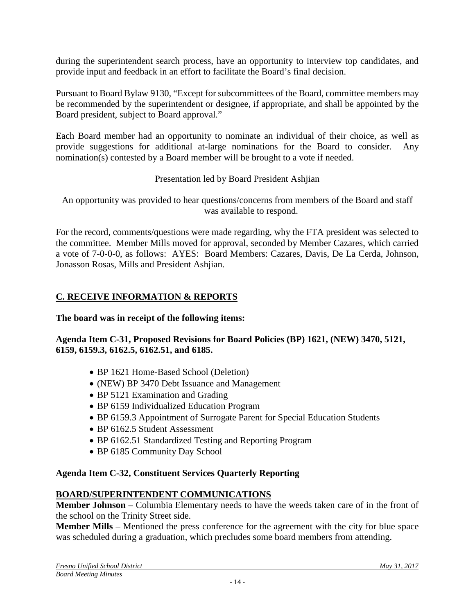during the superintendent search process, have an opportunity to interview top candidates, and provide input and feedback in an effort to facilitate the Board's final decision.

Pursuant to Board Bylaw 9130, "Except for subcommittees of the Board, committee members may be recommended by the superintendent or designee, if appropriate, and shall be appointed by the Board president, subject to Board approval."

Each Board member had an opportunity to nominate an individual of their choice, as well as provide suggestions for additional at-large nominations for the Board to consider. Any nomination(s) contested by a Board member will be brought to a vote if needed.

Presentation led by Board President Ashjian

An opportunity was provided to hear questions/concerns from members of the Board and staff was available to respond.

For the record, comments/questions were made regarding, why the FTA president was selected to the committee. Member Mills moved for approval, seconded by Member Cazares, which carried a vote of 7-0-0-0, as follows: AYES: Board Members: Cazares, Davis, De La Cerda, Johnson, Jonasson Rosas, Mills and President Ashjian.

# **C. RECEIVE INFORMATION & REPORTS**

**The board was in receipt of the following items:**

## **Agenda Item C-31, Proposed Revisions for Board Policies (BP) 1621, (NEW) 3470, 5121, 6159, 6159.3, 6162.5, 6162.51, and 6185.**

- BP 1621 Home-Based School (Deletion)
- (NEW) BP 3470 Debt Issuance and Management
- BP 5121 Examination and Grading
- BP 6159 Individualized Education Program
- BP 6159.3 Appointment of Surrogate Parent for Special Education Students
- BP 6162.5 Student Assessment
- BP 6162.51 Standardized Testing and Reporting Program
- BP 6185 Community Day School

# **Agenda Item C-32, Constituent Services Quarterly Reporting**

# **BOARD/SUPERINTENDENT COMMUNICATIONS**

**Member Johnson** – Columbia Elementary needs to have the weeds taken care of in the front of the school on the Trinity Street side.

**Member Mills** – Mentioned the press conference for the agreement with the city for blue space was scheduled during a graduation, which precludes some board members from attending.